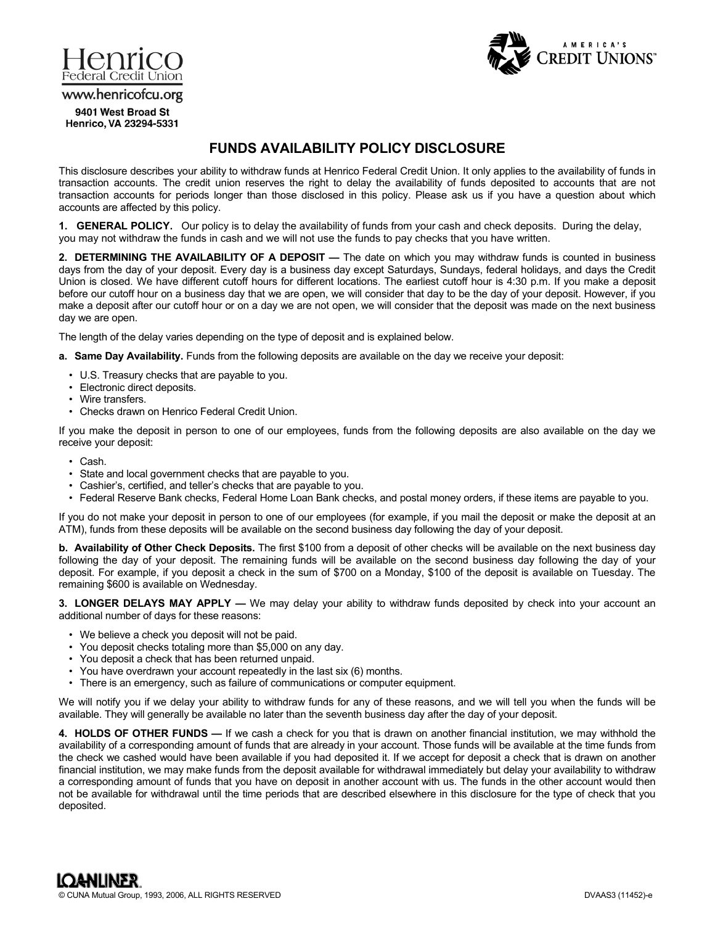



www.henricofcu.org

9401 West Broad St Henrico, VA 23294-5331

## **FUNDS AVAILABILITY POLICY DISCLOSURE**

This disclosure describes your ability to withdraw funds at Henrico Federal Credit Union. It only applies to the availability of funds in transaction accounts. The credit union reserves the right to delay the availability of funds deposited to accounts that are not transaction accounts for periods longer than those disclosed in this policy. Please ask us if you have a question about which accounts are affected by this policy.

**1. GENERAL POLICY.** Our policy is to delay the availability of funds from your cash and check deposits. During the delay, you may not withdraw the funds in cash and we will not use the funds to pay checks that you have written.

**2. DETERMINING THE AVAILABILITY OF A DEPOSIT —** The date on which you may withdraw funds is counted in business days from the day of your deposit. Every day is a business day except Saturdays, Sundays, federal holidays, and days the Credit Union is closed. We have different cutoff hours for different locations. The earliest cutoff hour is 4:30 p.m. If you make a deposit before our cutoff hour on a business day that we are open, we will consider that day to be the day of your deposit. However, if you make a deposit after our cutoff hour or on a day we are not open, we will consider that the deposit was made on the next business day we are open.

The length of the delay varies depending on the type of deposit and is explained below.

**a. Same Day Availability.** Funds from the following deposits are available on the day we receive your deposit:

- U.S. Treasury checks that are payable to you.
- Electronic direct deposits.
- Wire transfers.
- Checks drawn on Henrico Federal Credit Union.

If you make the deposit in person to one of our employees, funds from the following deposits are also available on the day we receive your deposit:

- Cash.
- State and local government checks that are payable to you.
- Cashier's, certified, and teller's checks that are payable to you.
- Federal Reserve Bank checks, Federal Home Loan Bank checks, and postal money orders, if these items are payable to you.

If you do not make your deposit in person to one of our employees (for example, if you mail the deposit or make the deposit at an ATM), funds from these deposits will be available on the second business day following the day of your deposit.

**b. Availability of Other Check Deposits.** The first \$100 from a deposit of other checks will be available on the next business day following the day of your deposit. The remaining funds will be available on the second business day following the day of your deposit. For example, if you deposit a check in the sum of \$700 on a Monday, \$100 of the deposit is available on Tuesday. The remaining \$600 is available on Wednesday.

**3. LONGER DELAYS MAY APPLY —** We may delay your ability to withdraw funds deposited by check into your account an additional number of days for these reasons:

- We believe a check you deposit will not be paid.
- You deposit checks totaling more than \$5,000 on any day.
- You deposit a check that has been returned unpaid.
- You have overdrawn your account repeatedly in the last six (6) months.
- There is an emergency, such as failure of communications or computer equipment.

We will notify you if we delay your ability to withdraw funds for any of these reasons, and we will tell you when the funds will be available. They will generally be available no later than the seventh business day after the day of your deposit.

**4. HOLDS OF OTHER FUNDS —** If we cash a check for you that is drawn on another financial institution, we may withhold the availability of a corresponding amount of funds that are already in your account. Those funds will be available at the time funds from the check we cashed would have been available if you had deposited it. If we accept for deposit a check that is drawn on another financial institution, we may make funds from the deposit available for withdrawal immediately but delay your availability to withdraw a corresponding amount of funds that you have on deposit in another account with us. The funds in the other account would then not be available for withdrawal until the time periods that are described elsewhere in this disclosure for the type of check that you deposited.